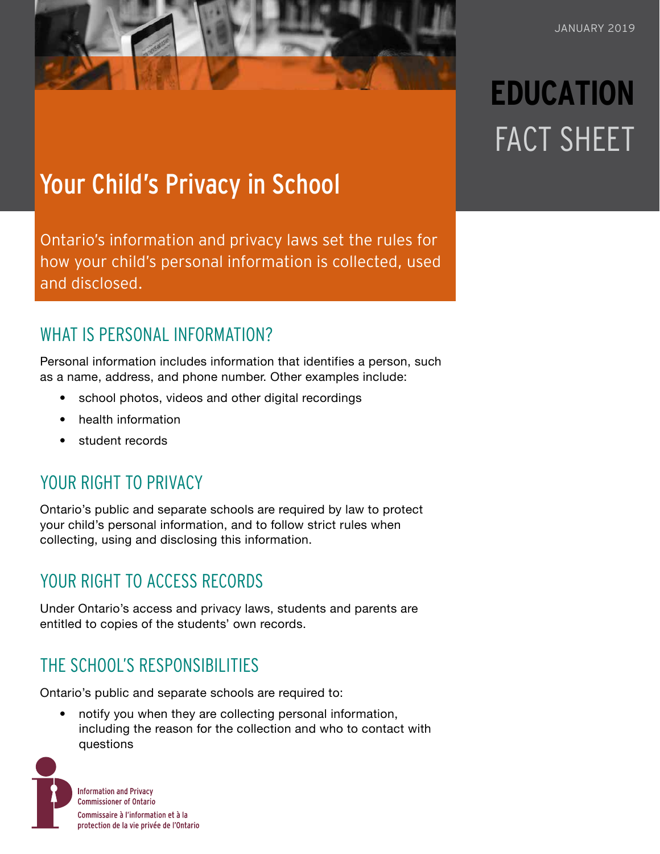# **EDUCATION** FACT SHEET

## Your Child's Privacy in School

Ontario's information and privacy laws set the rules for how your child's personal information is collected, used and disclosed.

### WHAT IS PERSONAL INFORMATION?

Personal information includes information that identifies a person, such as a name, address, and phone number. Other examples include:

- school photos, videos and other digital recordings
- health information
- student records

## YOUR RIGHT TO PRIVACY

Ontario's public and separate schools are required by law to protect your child's personal information, and to follow strict rules when collecting, using and disclosing this information.

## YOUR RIGHT TO ACCESS RECORDS

Under Ontario's access and privacy laws, students and parents are entitled to copies of the students' own records.

## THE SCHOOL'S RESPONSIBILITIES

Ontario's public and separate schools are required to:

• notify you when they are collecting personal information, including the reason for the collection and who to contact with questions

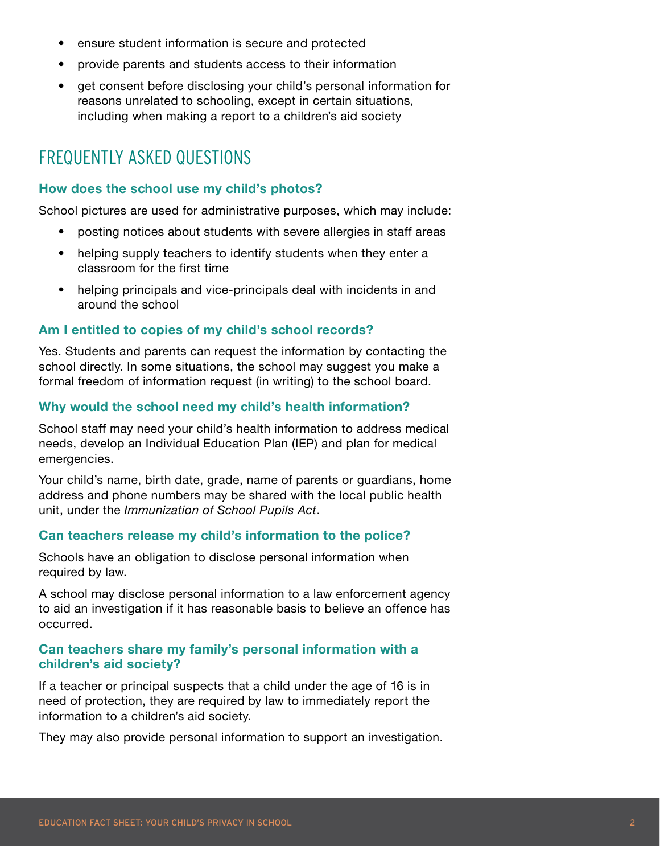- ensure student information is secure and protected
- provide parents and students access to their information
- get consent before disclosing your child's personal information for reasons unrelated to schooling, except in certain situations, including when making a report to a children's aid society

## FREQUENTLY ASKED QUESTIONS

#### **How does the school use my child's photos?**

School pictures are used for administrative purposes, which may include:

- posting notices about students with severe allergies in staff areas
- helping supply teachers to identify students when they enter a classroom for the first time
- helping principals and vice-principals deal with incidents in and around the school

#### **Am I entitled to copies of my child's school records?**

Yes. Students and parents can request the information by contacting the school directly. In some situations, the school may suggest you make a formal freedom of information request (in writing) to the school board.

#### **Why would the school need my child's health information?**

School staff may need your child's health information to address medical needs, develop an Individual Education Plan (IEP) and plan for medical emergencies.

Your child's name, birth date, grade, name of parents or guardians, home address and phone numbers may be shared with the local public health unit, under the *Immunization of School Pupils Act*.

#### **Can teachers release my child's information to the police?**

Schools have an obligation to disclose personal information when required by law.

A school may disclose personal information to a law enforcement agency to aid an investigation if it has reasonable basis to believe an offence has occurred.

#### **Can teachers share my family's personal information with a children's aid society?**

If a teacher or principal suspects that a child under the age of 16 is in need of protection, they are required by law to immediately report the information to a children's aid society.

They may also provide personal information to support an investigation.